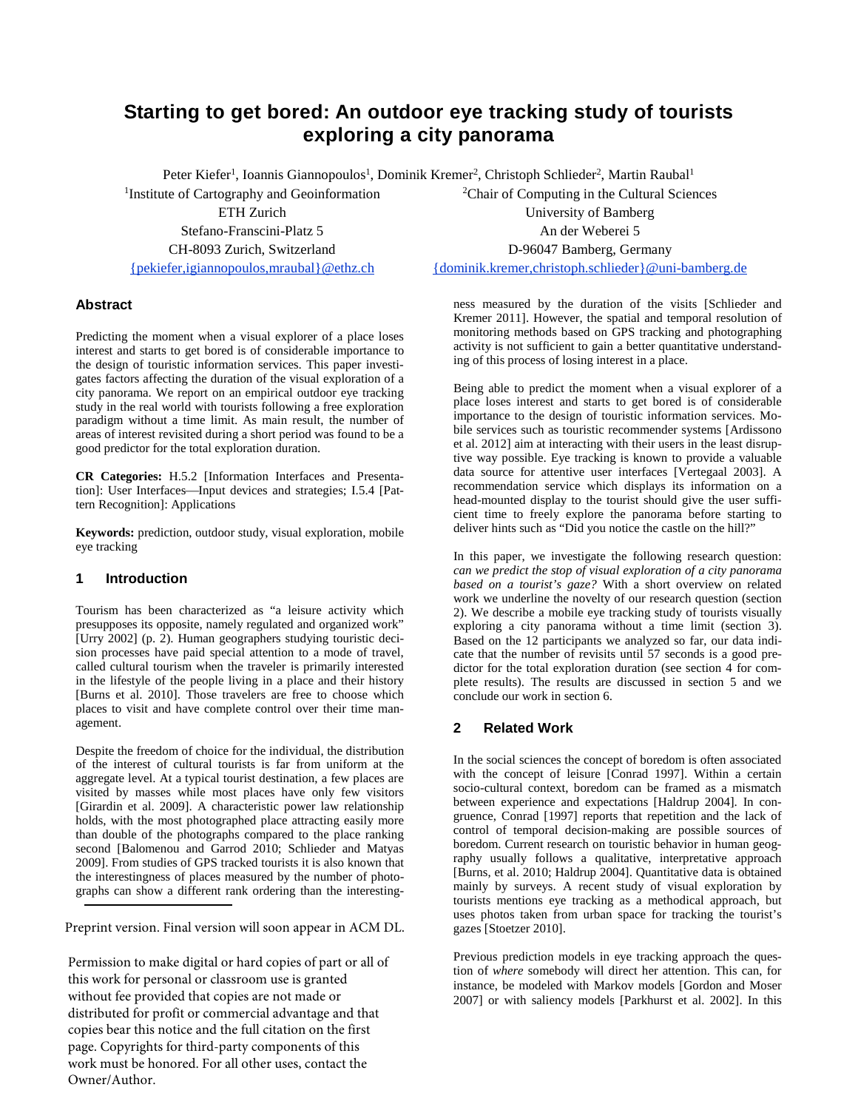# **Starting to get bored: An outdoor eye tracking study of tourists exploring a city panorama**

Peter Kiefer<sup>1</sup>, Ioannis Giannopoulos<sup>1</sup>, Dominik Kremer<sup>2</sup>, Christoph Schlieder<sup>2</sup>, Martin Raubal<sup>1</sup>

1 Institute of Cartography and Geoinformation ETH Zurich Stefano-Franscini-Platz 5 CH-8093 Zurich, Switzerland {pekiefer,igiannopoulos,mraubal}@ethz.ch

# **Abstract**

Predicting the moment when a visual explorer of a place loses interest and starts to get bored is of considerable importance to the design of touristic information services. This paper investigates factors affecting the duration of the visual exploration of a city panorama. We report on an empirical outdoor eye tracking study in the real world with tourists following a free exploration paradigm without a time limit. As main result, the number of areas of interest revisited during a short period was found to be a good predictor for the total exploration duration.

**CR Categories:** H.5.2 [Information Interfaces and Presentation]: User Interfaces—Input devices and strategies; I.5.4 [Pattern Recognition]: Applications

**Keywords:** prediction, outdoor study, visual exploration, mobile eye tracking

# **1 Introduction**

Tourism has been characterized as "a leisure activity which presupposes its opposite, namely regulated and organized work" [Urry 2002] (p. 2). Human geographers studying touristic decision processes have paid special attention to a mode of travel, called cultural tourism when the traveler is primarily interested in the lifestyle of the people living in a place and their history [Burns et al. 2010]. Those travelers are free to choose which places to visit and have complete control over their time management.

Despite the freedom of choice for the individual, the distribution of the interest of cultural tourists is far from uniform at the aggregate level. At a typical tourist destination, a few places are visited by masses while most places have only few visitors [Girardin et al. 2009]. A characteristic power law relationship holds, with the most photographed place attracting easily more than double of the photographs compared to the place ranking second [Balomenou and Garrod 2010; Schlieder and Matyas 2009]. From studies of GPS tracked tourists it is also known that the interestingness of places measured by the number of photographs can show a different rank ordering than the interesting-

Preprint version. Final version will soon appear in ACM DL.

Permission to make digital or hard copies of part or all of this work for personal or classroom use is granted without fee provided that copies are not made or distributed for profit or commercial advantage and that copies bear this notice and the full citation on the first page. Copyrights for third-party components of this work must be honored. For all other uses, contact the Owner/Author.

<sup>2</sup>Chair of Computing in the Cultural Sciences University of Bamberg An der Weberei 5 D-96047 Bamberg, Germany {dominik.kremer,christoph.schlieder}@uni-bamberg.de

ness measured by the duration of the visits [Schlieder and Kremer 2011]. However, the spatial and temporal resolution of monitoring methods based on GPS tracking and photographing activity is not sufficient to gain a better quantitative understanding of this process of losing interest in a place.

Being able to predict the moment when a visual explorer of a place loses interest and starts to get bored is of considerable importance to the design of touristic information services. Mobile services such as touristic recommender systems [Ardissono et al. 2012] aim at interacting with their users in the least disruptive way possible. Eye tracking is known to provide a valuable data source for attentive user interfaces [Vertegaal 2003]. A recommendation service which displays its information on a head-mounted display to the tourist should give the user sufficient time to freely explore the panorama before starting to deliver hints such as "Did you notice the castle on the hill?"

In this paper, we investigate the following research question: *can we predict the stop of visual exploration of a city panorama based on a tourist's gaze?* With a short overview on related work we underline the novelty of our research question (section 2). We describe a mobile eye tracking study of tourists visually exploring a city panorama without a time limit (section 3). Based on the 12 participants we analyzed so far, our data indicate that the number of revisits until 57 seconds is a good predictor for the total exploration duration (see section 4 for complete results). The results are discussed in section 5 and we conclude our work in section 6.

# **2 Related Work**

In the social sciences the concept of boredom is often associated with the concept of leisure [Conrad 1997]. Within a certain socio-cultural context, boredom can be framed as a mismatch between experience and expectations [Haldrup 2004]. In congruence, Conrad [1997] reports that repetition and the lack of control of temporal decision-making are possible sources of boredom. Current research on touristic behavior in human geography usually follows a qualitative, interpretative approach [Burns, et al. 2010; Haldrup 2004]. Quantitative data is obtained mainly by surveys. A recent study of visual exploration by tourists mentions eye tracking as a methodical approach, but uses photos taken from urban space for tracking the tourist's gazes [Stoetzer 2010].

Previous prediction models in eye tracking approach the question of *where* somebody will direct her attention. This can, for instance, be modeled with Markov models [Gordon and Moser 2007] or with saliency models [Parkhurst et al. 2002]. In this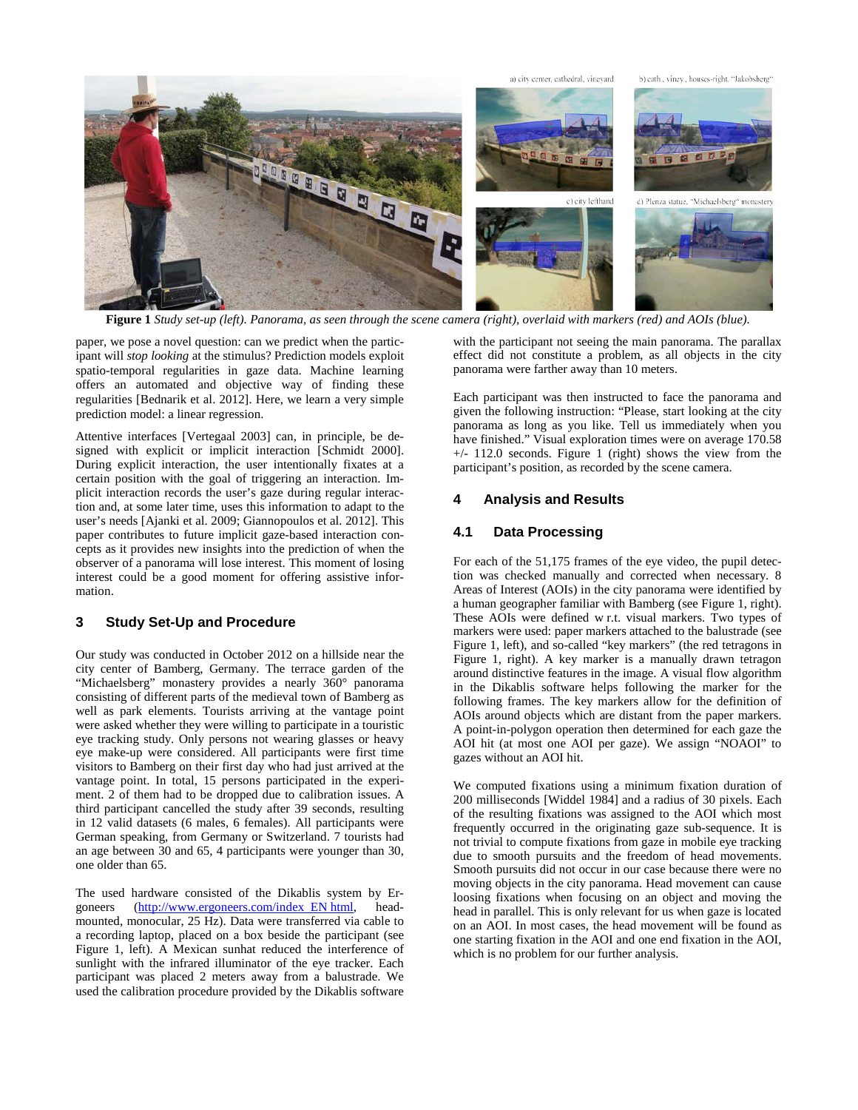

**Figure 1** *Study set-up (left). Panorama, as seen through the scene camera (right), overlaid with markers (red) and AOIs (blue).*

paper, we pose a novel question: can we predict when the participant will *stop looking* at the stimulus? Prediction models exploit spatio-temporal regularities in gaze data. Machine learning offers an automated and objective way of finding these regularities [Bednarik et al. 2012]. Here, we learn a very simple prediction model: a linear regression.

Attentive interfaces [Vertegaal 2003] can, in principle, be designed with explicit or implicit interaction [Schmidt 2000]. During explicit interaction, the user intentionally fixates at a certain position with the goal of triggering an interaction. Implicit interaction records the user's gaze during regular interaction and, at some later time, uses this information to adapt to the user's needs [Ajanki et al. 2009; Giannopoulos et al. 2012]. This paper contributes to future implicit gaze-based interaction concepts as it provides new insights into the prediction of when the observer of a panorama will lose interest. This moment of losing interest could be a good moment for offering assistive information.

## **3 Study Set-Up and Procedure**

Our study was conducted in October 2012 on a hillside near the city center of Bamberg, Germany. The terrace garden of the "Michaelsberg" monastery provides a nearly 360° panorama consisting of different parts of the medieval town of Bamberg as well as park elements. Tourists arriving at the vantage point were asked whether they were willing to participate in a touristic eye tracking study. Only persons not wearing glasses or heavy eye make-up were considered. All participants were first time visitors to Bamberg on their first day who had just arrived at the vantage point. In total, 15 persons participated in the experiment. 2 of them had to be dropped due to calibration issues. A third participant cancelled the study after 39 seconds, resulting in 12 valid datasets (6 males, 6 females). All participants were German speaking, from Germany or Switzerland. 7 tourists had an age between 30 and 65, 4 participants were younger than 30, one older than 65.

The used hardware consisted of the Dikablis system by Ergoneers (http://www.ergoneers.com/index EN html, headmounted, monocular, 25 Hz). Data were transferred via cable to a recording laptop, placed on a box beside the participant (see Figure 1, left). A Mexican sunhat reduced the interference of sunlight with the infrared illuminator of the eye tracker. Each participant was placed 2 meters away from a balustrade. We used the calibration procedure provided by the Dikablis software

with the participant not seeing the main panorama. The parallax effect did not constitute a problem, as all objects in the city panorama were farther away than 10 meters.

Each participant was then instructed to face the panorama and given the following instruction: "Please, start looking at the city panorama as long as you like. Tell us immediately when you have finished." Visual exploration times were on average 170.58 +/- 112.0 seconds. Figure 1 (right) shows the view from the participant's position, as recorded by the scene camera.

#### **4 Analysis and Results**

#### **4.1 Data Processing**

For each of the 51,175 frames of the eye video, the pupil detection was checked manually and corrected when necessary. 8 Areas of Interest (AOIs) in the city panorama were identified by a human geographer familiar with Bamberg (see Figure 1, right). These AOIs were defined w r.t. visual markers. Two types of markers were used: paper markers attached to the balustrade (see Figure 1, left), and so-called "key markers" (the red tetragons in Figure 1, right). A key marker is a manually drawn tetragon around distinctive features in the image. A visual flow algorithm in the Dikablis software helps following the marker for the following frames. The key markers allow for the definition of AOIs around objects which are distant from the paper markers. A point-in-polygon operation then determined for each gaze the AOI hit (at most one AOI per gaze). We assign "NOAOI" to gazes without an AOI hit.

We computed fixations using a minimum fixation duration of 200 milliseconds [Widdel 1984] and a radius of 30 pixels. Each of the resulting fixations was assigned to the AOI which most frequently occurred in the originating gaze sub-sequence. It is not trivial to compute fixations from gaze in mobile eye tracking due to smooth pursuits and the freedom of head movements. Smooth pursuits did not occur in our case because there were no moving objects in the city panorama. Head movement can cause loosing fixations when focusing on an object and moving the head in parallel. This is only relevant for us when gaze is located on an AOI. In most cases, the head movement will be found as one starting fixation in the AOI and one end fixation in the AOI, which is no problem for our further analysis.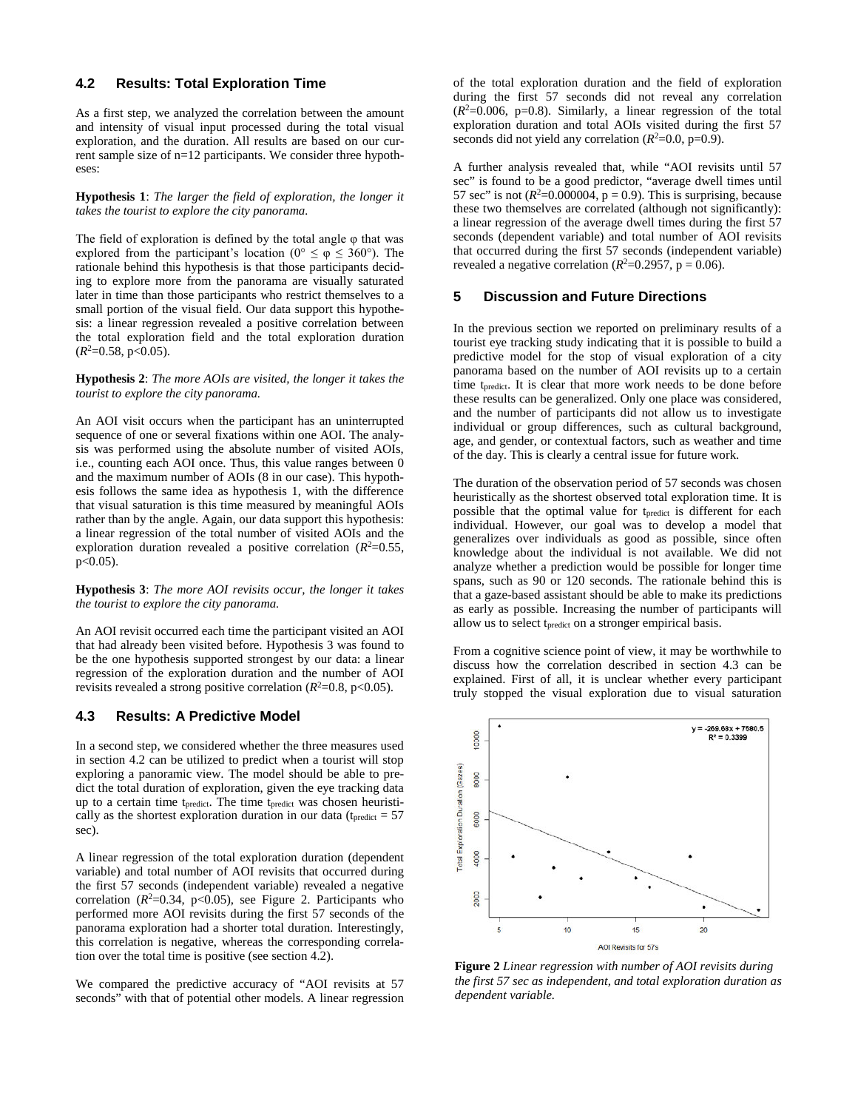#### **4.2 Results: Total Exploration Time**

As a first step, we analyzed the correlation between the amount and intensity of visual input processed during the total visual exploration, and the duration. All results are based on our current sample size of n=12 participants. We consider three hypotheses:

**Hypothesis 1**: *The larger the field of exploration, the longer it takes the tourist to explore the city panorama.*

The field of exploration is defined by the total angle  $\varphi$  that was explored from the participant's location ( $0^{\circ} \le \varphi \le 360^{\circ}$ ). The rationale behind this hypothesis is that those participants deciding to explore more from the panorama are visually saturated later in time than those participants who restrict themselves to a small portion of the visual field. Our data support this hypothesis: a linear regression revealed a positive correlation between the total exploration field and the total exploration duration  $(R^2=0.58, p<0.05)$ .

**Hypothesis 2**: *The more AOIs are visited, the longer it takes the tourist to explore the city panorama.*

An AOI visit occurs when the participant has an uninterrupted sequence of one or several fixations within one AOI. The analysis was performed using the absolute number of visited AOIs, i.e., counting each AOI once. Thus, this value ranges between 0 and the maximum number of AOIs (8 in our case). This hypothesis follows the same idea as hypothesis 1, with the difference that visual saturation is this time measured by meaningful AOIs rather than by the angle. Again, our data support this hypothesis: a linear regression of the total number of visited AOIs and the exploration duration revealed a positive correlation  $(R^2=0.55,$ p<0.05).

**Hypothesis 3**: *The more AOI revisits occur, the longer it takes the tourist to explore the city panorama.*

An AOI revisit occurred each time the participant visited an AOI that had already been visited before. Hypothesis 3 was found to be the one hypothesis supported strongest by our data: a linear regression of the exploration duration and the number of AOI revisits revealed a strong positive correlation  $(R^2=0.8, p<0.05)$ .

#### **4.3 Results: A Predictive Model**

In a second step, we considered whether the three measures used in section 4.2 can be utilized to predict when a tourist will stop exploring a panoramic view. The model should be able to predict the total duration of exploration, given the eye tracking data up to a certain time t<sub>predict</sub>. The time t<sub>predict</sub> was chosen heuristically as the shortest exploration duration in our data ( $t_{predict} = 57$ sec).

A linear regression of the total exploration duration (dependent variable) and total number of AOI revisits that occurred during the first 57 seconds (independent variable) revealed a negative correlation  $(R^2=0.34, p<0.05)$ , see Figure 2. Participants who performed more AOI revisits during the first 57 seconds of the panorama exploration had a shorter total duration. Interestingly, this correlation is negative, whereas the corresponding correlation over the total time is positive (see section 4.2).

We compared the predictive accuracy of "AOI revisits at 57 seconds" with that of potential other models. A linear regression of the total exploration duration and the field of exploration during the first 57 seconds did not reveal any correlation  $(R<sup>2</sup>=0.006, p=0.8)$ . Similarly, a linear regression of the total exploration duration and total AOIs visited during the first 57 seconds did not yield any correlation  $(R^2=0.0, p=0.9)$ .

A further analysis revealed that, while "AOI revisits until 57 sec" is found to be a good predictor, "average dwell times until 57 sec" is not  $(R^2=0.000004, p = 0.9)$ . This is surprising, because these two themselves are correlated (although not significantly): a linear regression of the average dwell times during the first 57 seconds (dependent variable) and total number of AOI revisits that occurred during the first 57 seconds (independent variable) revealed a negative correlation ( $R^2$ =0.2957, p = 0.06).

#### **5 Discussion and Future Directions**

In the previous section we reported on preliminary results of a tourist eye tracking study indicating that it is possible to build a predictive model for the stop of visual exploration of a city panorama based on the number of AOI revisits up to a certain time t<sub>predict</sub>. It is clear that more work needs to be done before these results can be generalized. Only one place was considered, and the number of participants did not allow us to investigate individual or group differences, such as cultural background, age, and gender, or contextual factors, such as weather and time of the day. This is clearly a central issue for future work.

The duration of the observation period of 57 seconds was chosen heuristically as the shortest observed total exploration time. It is possible that the optimal value for tpredict is different for each individual. However, our goal was to develop a model that generalizes over individuals as good as possible, since often knowledge about the individual is not available. We did not analyze whether a prediction would be possible for longer time spans, such as 90 or 120 seconds. The rationale behind this is that a gaze-based assistant should be able to make its predictions as early as possible. Increasing the number of participants will allow us to select tpredict on a stronger empirical basis.

From a cognitive science point of view, it may be worthwhile to discuss how the correlation described in section 4.3 can be explained. First of all, it is unclear whether every participant truly stopped the visual exploration due to visual saturation



**Figure 2** *Linear regression with number of AOI revisits during the first 57 sec as independent, and total exploration duration as dependent variable.*